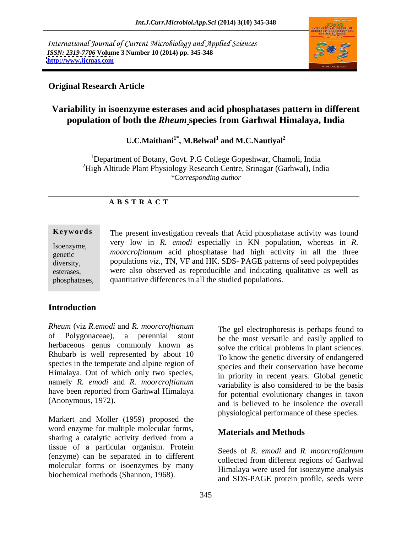International Journal of Current Microbiology and Applied Sciences *ISSN: 2319-7706* **Volume 3 Number 10 (2014) pp. 345-348 <http://www.ijcmas.com>**



## **Original Research Article**

# **Variability in isoenzyme esterases and acid phosphatases pattern in different population of both the** *Rheum* **species from Garhwal Himalaya, India**

### **U.C.Maithani1\* , M.Belwal<sup>1</sup> and M.C.Nautiyal<sup>2</sup>**

<sup>1</sup>Department of Botany, Govt. P.G College Gopeshwar, Chamoli, India <sup>2</sup>High Altitude Plant Physiology Research Centre, Srinagar (Garhwal), India *\*Corresponding author* 

### **A B S T R A C T**

**Keywords** The present investigation reveals that Acid phosphatase activity was found Isoenzyme, very low in *K. emode* especially in Kiv population, whereas in *K.*<br>genetic *moorcroftianum* acid phosphatase had high activity in all the three diversity, populations *viz.,* TN, VF and HK. SDS- PAGE patterns of seed polypeptides esterases, were also observed as reproducible and indicating qualitative as well as phosphatases, quantitative differences in all the studied populations.very low in *R. emodi* especially in KN population, whereas in *R.* 

## **Introduction**

*Rheum* (viz *R.emodi* and *R. moorcroftianum* of Polygonaceae), a perennial stout be the most versatile and easily applied to herbaceous genus commonly known as Rhubarb is well represented by about 10 species in the temperate and alpine region of Himalaya. Out of which only two species, namely *R. emodi* and *R. moorcroftianum* have been reported from Garhwal Himalaya

Markert and Moller (1959) proposed the word enzyme for multiple molecular forms, **Materials and Methods** sharing a catalytic activity derived from a tissue of a particular organism. Protein (enzyme) can be separated in to different molecular forms or isoenzymes by many biochemical methods (Shannon, 1968).

(Anonymous, 1972). and is believed to be insolence the overall The gel electrophoresis is perhaps found to solve the critical problems in plant sciences. To know the genetic diversity of endangered species and their conservation have become in priority in recent years. Global genetic variability is also considered to be the basis for potential evolutionary changes in taxon physiological performance of these species.

### **Materials and Methods**

Seeds of *R. emodi* and *R. moorcroftianum* collected from different regions of Garhwal Himalaya were used for isoenzyme analysis and SDS-PAGE protein profile, seeds were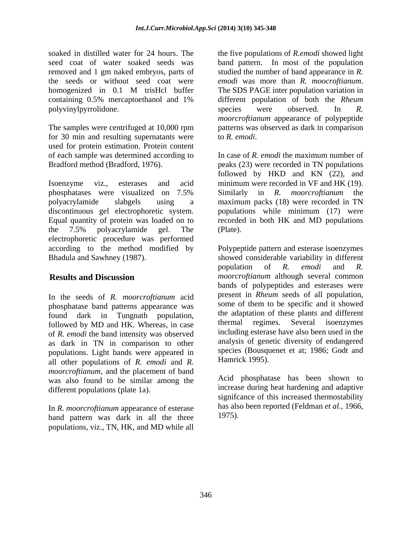soaked in distilled water for 24 hours. The the five populations of *R.emodi* showed light seed coat of water soaked seeds was band pattern. In most of the population removed and 1 gm naked embryos, parts of the seeds or without seed coat were *emodi* was more than R. *moocroftianum*. homogenized in 0.1 M trisHcl buffer The SDS PAGE inter population variation in containing 0.5% mercaptoethanol and 1% different population of both the *Rheum*  polyvinylpyrrolidone. Species were observed. In R.

for 30 min and resulting supernatants were to  $R$ , emodi. used for protein estimation. Protein content

Isoenzyme viz., esterases and acid minimum were recorded in VF and HK (19). phosphatases were visualized on 7.5% Similarly in R. *moorcroftianum* the polyacrylamide slabgels using a maximum packs (18) were recorded in TN discontinuous gel electrophoretic system. populations while minimum (17) were Equal quantity of protein was loaded on to recorded in both HK and MD populations the 7.5% polyacrylamide gel. The electrophoretic procedure was performed

In the seeds of *R. moorcroftianum* acid phosphatase band patterns appearance was found dark in Tungnath population, the adaptation of these plants and different followed by MD and HK Whereas in case followed by MD and HK. Whereas, in case of *R. emodi* the band intensity was observed as dark in TN in comparison to other populations. Light bands were appeared in all other populations of *R. emodi* and *R. moorcroftianum*, and the placement of band was also found to be similar among the different populations (plate 1a).

In *R. moorcroftianum* appearance of esterase band pattern was dark in all the three populations, viz., TN, HK, and MD while all

The samples were centrifuged at 10,000 rpm patterns was observed as dark in comparison studied the number of band appearance in *R. emodi* was more than *R. moocroftianum*. The SDS PAGE inter population variation in species were observed. In *R. moorcroftianum* appearance of polypeptide to *R. emodi*.

of each sample was determined according to In case of*R. emodi* the maximum number of Bradford method (Bradford, 1976). peaks (23) were recorded in TN populations followed by HKD and KN (22), and Similarly in *R.moorcroftianum* the (Plate).

according to the method modified by Polypeptide pattern and esterase isoenzymes Bhadula and Sawhney (1987). showed considerable variability in different **Results and Discussion** *moorcroftianum* although several common population of *R. emodi* and *R.*  bands of polypeptides and esterases were present in *Rheum* seeds of all population, some of them to be specific and it showed the adaptation of these plants and different thermal regimes. Several isoenzymes including esterase have also been used in the analysis of genetic diversity of endangered species (Bousquenet et at; 1986; Godt and Hamrick 1995).

> Acid phosphatase has been shown to increase during heat hardening and adaptive signifcance of this increased thermostability has also been reported (Feldman *et al.,* 1966, 1975).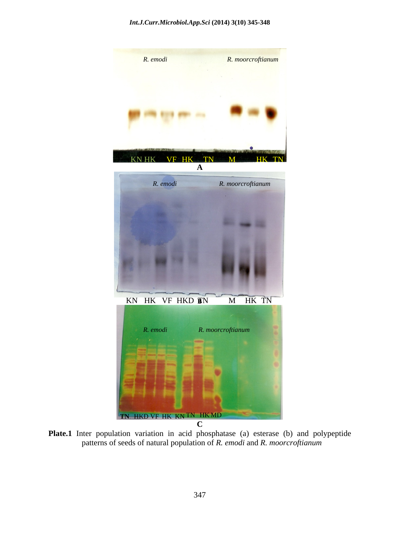

Plate.1 Inter population variation in acid phosphatase (a) esterase (b) and polypeptide patterns of seeds of natural population of *R. emodi* and *R. moorcroftianum*